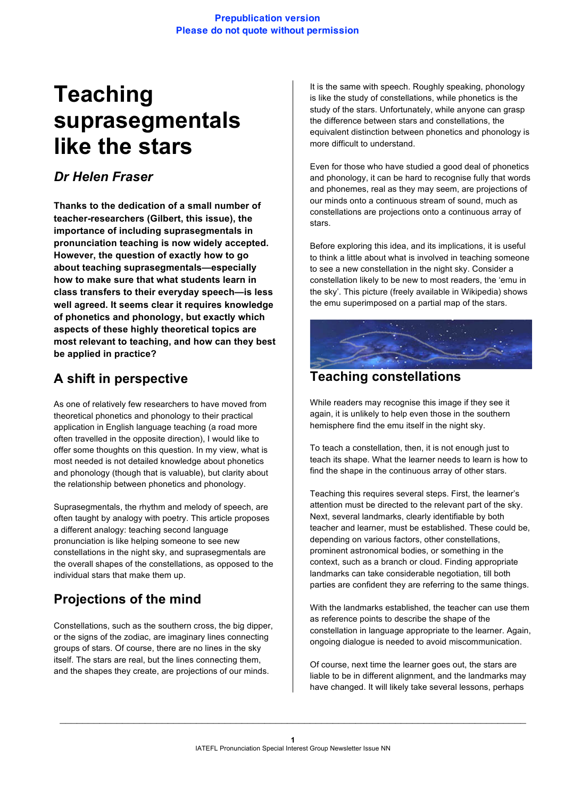#### **Prepublication version Please do not quote without permission**

# **Teaching suprasegmentals like the stars**

### *Dr Helen Fraser*

**Thanks to the dedication of a small number of teacher-researchers (Gilbert, this issue), the importance of including suprasegmentals in pronunciation teaching is now widely accepted. However, the question of exactly how to go about teaching suprasegmentals—especially how to make sure that what students learn in class transfers to their everyday speech—is less well agreed. It seems clear it requires knowledge of phonetics and phonology, but exactly which aspects of these highly theoretical topics are most relevant to teaching, and how can they best be applied in practice?**

# **A shift in perspective**

As one of relatively few researchers to have moved from theoretical phonetics and phonology to their practical application in English language teaching (a road more often travelled in the opposite direction), I would like to offer some thoughts on this question. In my view, what is most needed is not detailed knowledge about phonetics and phonology (though that is valuable), but clarity about the relationship between phonetics and phonology.

Suprasegmentals, the rhythm and melody of speech, are often taught by analogy with poetry. This article proposes a different analogy: teaching second language pronunciation is like helping someone to see new constellations in the night sky, and suprasegmentals are the overall shapes of the constellations, as opposed to the individual stars that make them up.

# **Projections of the mind**

Constellations, such as the southern cross, the big dipper, or the signs of the zodiac, are imaginary lines connecting groups of stars. Of course, there are no lines in the sky itself. The stars are real, but the lines connecting them, and the shapes they create, are projections of our minds.

It is the same with speech. Roughly speaking, phonology is like the study of constellations, while phonetics is the study of the stars. Unfortunately, while anyone can grasp the difference between stars and constellations, the equivalent distinction between phonetics and phonology is more difficult to understand.

Even for those who have studied a good deal of phonetics and phonology, it can be hard to recognise fully that words and phonemes, real as they may seem, are projections of our minds onto a continuous stream of sound, much as constellations are projections onto a continuous array of stars.

Before exploring this idea, and its implications, it is useful to think a little about what is involved in teaching someone to see a new constellation in the night sky. Consider a constellation likely to be new to most readers, the 'emu in the sky'. This picture (freely available in Wikipedia) shows the emu superimposed on a partial map of the stars.



#### **Teaching constellations**

While readers may recognise this image if they see it again, it is unlikely to help even those in the southern hemisphere find the emu itself in the night sky.

To teach a constellation, then, it is not enough just to teach its shape. What the learner needs to learn is how to find the shape in the continuous array of other stars.

Teaching this requires several steps. First, the learner's attention must be directed to the relevant part of the sky. Next, several landmarks, clearly identifiable by both teacher and learner, must be established. These could be, depending on various factors, other constellations, prominent astronomical bodies, or something in the context, such as a branch or cloud. Finding appropriate landmarks can take considerable negotiation, till both parties are confident they are referring to the same things.

With the landmarks established, the teacher can use them as reference points to describe the shape of the constellation in language appropriate to the learner. Again, ongoing dialogue is needed to avoid miscommunication.

Of course, next time the learner goes out, the stars are liable to be in different alignment, and the landmarks may have changed. It will likely take several lessons, perhaps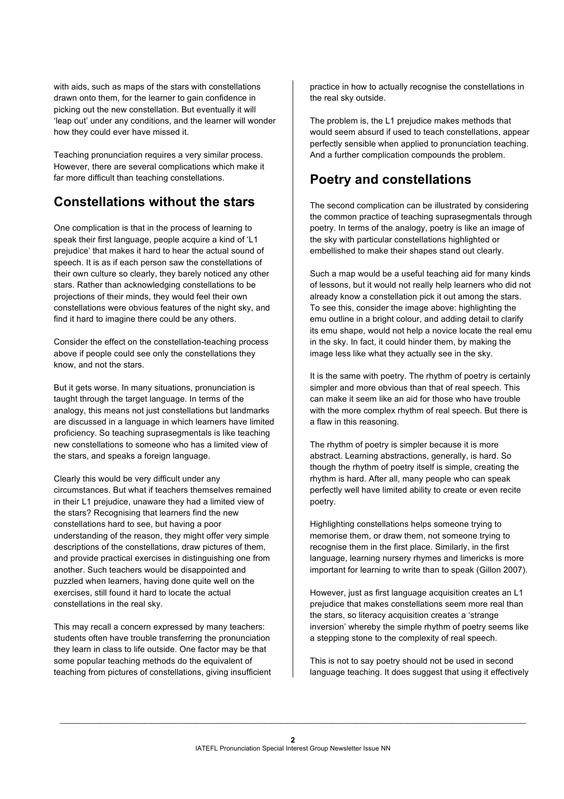with aids, such as maps of the stars with constellations drawn onto them, for the learner to gain confidence in picking out the new constellation. But eventually it will 'leap out' under any conditions, and the learner will wonder how they could ever have missed it.

Teaching pronunciation requires a very similar process. However, there are several complications which make it far more difficult than teaching constellations.

### **Constellations without the stars**

One complication is that in the process of learning to speak their first language, people acquire a kind of 'L1 prejudice' that makes it hard to hear the actual sound of speech. It is as if each person saw the constellations of their own culture so clearly, they barely noticed any other stars. Rather than acknowledging constellations to be projections of their minds, they would feel their own constellations were obvious features of the night sky, and find it hard to imagine there could be any others.

Consider the effect on the constellation-teaching process above if people could see only the constellations they know, and not the stars.

But it gets worse. In many situations, pronunciation is taught through the target language. In terms of the analogy, this means not just constellations but landmarks are discussed in a language in which learners have limited proficiency. So teaching suprasegmentals is like teaching new constellations to someone who has a limited view of the stars, and speaks a foreign language.

Clearly this would be very difficult under any circumstances. But what if teachers themselves remained in their L1 prejudice, unaware they had a limited view of the stars? Recognising that learners find the new constellations hard to see, but having a poor understanding of the reason, they might offer very simple descriptions of the constellations, draw pictures of them, and provide practical exercises in distinguishing one from another. Such teachers would be disappointed and puzzled when learners, having done quite well on the exercises, still found it hard to locate the actual constellations in the real sky.

This may recall a concern expressed by many teachers: students often have trouble transferring the pronunciation they learn in class to life outside. One factor may be that some popular teaching methods do the equivalent of teaching from pictures of constellations, giving insufficient practice in how to actually recognise the constellations in the real sky outside.

The problem is, the L1 prejudice makes methods that would seem absurd if used to teach constellations, appear perfectly sensible when applied to pronunciation teaching. And a further complication compounds the problem.

# **Poetry and constellations**

The second complication can be illustrated by considering the common practice of teaching suprasegmentals through poetry. In terms of the analogy, poetry is like an image of the sky with particular constellations highlighted or embellished to make their shapes stand out clearly.

Such a map would be a useful teaching aid for many kinds of lessons, but it would not really help learners who did not already know a constellation pick it out among the stars. To see this, consider the image above: highlighting the emu outline in a bright colour, and adding detail to clarify its emu shape, would not help a novice locate the real emu in the sky. In fact, it could hinder them, by making the image less like what they actually see in the sky.

It is the same with poetry. The rhythm of poetry is certainly simpler and more obvious than that of real speech. This can make it seem like an aid for those who have trouble with the more complex rhythm of real speech. But there is a flaw in this reasoning.

The rhythm of poetry is simpler because it is more abstract. Learning abstractions, generally, is hard. So though the rhythm of poetry itself is simple, creating the rhythm is hard. After all, many people who can speak perfectly well have limited ability to create or even recite poetry.

Highlighting constellations helps someone trying to memorise them, or draw them, not someone trying to recognise them in the first place. Similarly, in the first language, learning nursery rhymes and limericks is more important for learning to write than to speak (Gillon 2007).

However, just as first language acquisition creates an L1 prejudice that makes constellations seem more real than the stars, so literacy acquisition creates a 'strange inversion' whereby the simple rhythm of poetry seems like a stepping stone to the complexity of real speech.

This is not to say poetry should not be used in second language teaching. It does suggest that using it effectively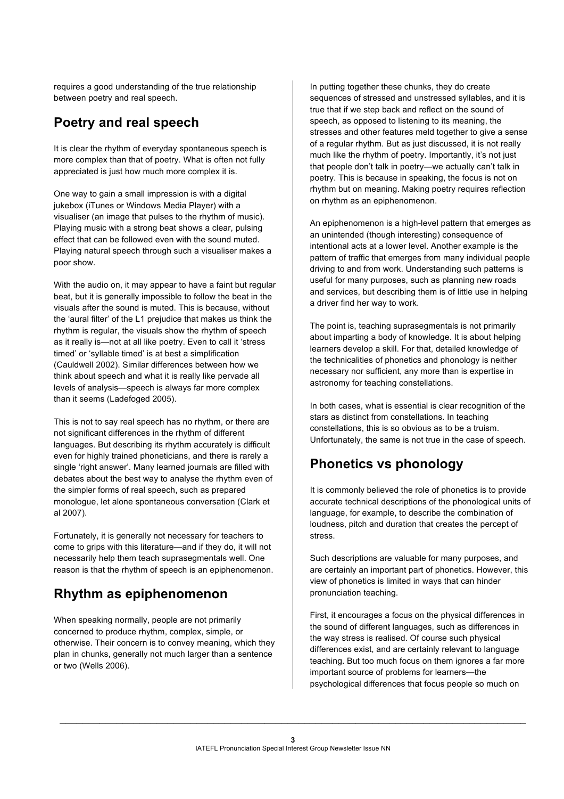requires a good understanding of the true relationship between poetry and real speech.

#### **Poetry and real speech**

It is clear the rhythm of everyday spontaneous speech is more complex than that of poetry. What is often not fully appreciated is just how much more complex it is.

One way to gain a small impression is with a digital jukebox (iTunes or Windows Media Player) with a visualiser (an image that pulses to the rhythm of music). Playing music with a strong beat shows a clear, pulsing effect that can be followed even with the sound muted. Playing natural speech through such a visualiser makes a poor show.

With the audio on, it may appear to have a faint but regular beat, but it is generally impossible to follow the beat in the visuals after the sound is muted. This is because, without the 'aural filter' of the L1 prejudice that makes us think the rhythm is regular, the visuals show the rhythm of speech as it really is—not at all like poetry. Even to call it 'stress timed' or 'syllable timed' is at best a simplification (Cauldwell 2002). Similar differences between how we think about speech and what it is really like pervade all levels of analysis—speech is always far more complex than it seems (Ladefoged 2005).

This is not to say real speech has no rhythm, or there are not significant differences in the rhythm of different languages. But describing its rhythm accurately is difficult even for highly trained phoneticians, and there is rarely a single 'right answer'. Many learned journals are filled with debates about the best way to analyse the rhythm even of the simpler forms of real speech, such as prepared monologue, let alone spontaneous conversation (Clark et al 2007).

Fortunately, it is generally not necessary for teachers to come to grips with this literature—and if they do, it will not necessarily help them teach suprasegmentals well. One reason is that the rhythm of speech is an epiphenomenon.

# **Rhythm as epiphenomenon**

When speaking normally, people are not primarily concerned to produce rhythm, complex, simple, or otherwise. Their concern is to convey meaning, which they plan in chunks, generally not much larger than a sentence or two (Wells 2006).

In putting together these chunks, they do create sequences of stressed and unstressed syllables, and it is true that if we step back and reflect on the sound of speech, as opposed to listening to its meaning, the stresses and other features meld together to give a sense of a regular rhythm. But as just discussed, it is not really much like the rhythm of poetry. Importantly, it's not just that people don't talk in poetry—we actually can't talk in poetry. This is because in speaking, the focus is not on rhythm but on meaning. Making poetry requires reflection on rhythm as an epiphenomenon.

An epiphenomenon is a high-level pattern that emerges as an unintended (though interesting) consequence of intentional acts at a lower level. Another example is the pattern of traffic that emerges from many individual people driving to and from work. Understanding such patterns is useful for many purposes, such as planning new roads and services, but describing them is of little use in helping a driver find her way to work.

The point is, teaching suprasegmentals is not primarily about imparting a body of knowledge. It is about helping learners develop a skill. For that, detailed knowledge of the technicalities of phonetics and phonology is neither necessary nor sufficient, any more than is expertise in astronomy for teaching constellations.

In both cases, what is essential is clear recognition of the stars as distinct from constellations. In teaching constellations, this is so obvious as to be a truism. Unfortunately, the same is not true in the case of speech.

# **Phonetics vs phonology**

It is commonly believed the role of phonetics is to provide accurate technical descriptions of the phonological units of language, for example, to describe the combination of loudness, pitch and duration that creates the percept of stress.

Such descriptions are valuable for many purposes, and are certainly an important part of phonetics. However, this view of phonetics is limited in ways that can hinder pronunciation teaching.

First, it encourages a focus on the physical differences in the sound of different languages, such as differences in the way stress is realised. Of course such physical differences exist, and are certainly relevant to language teaching. But too much focus on them ignores a far more important source of problems for learners—the psychological differences that focus people so much on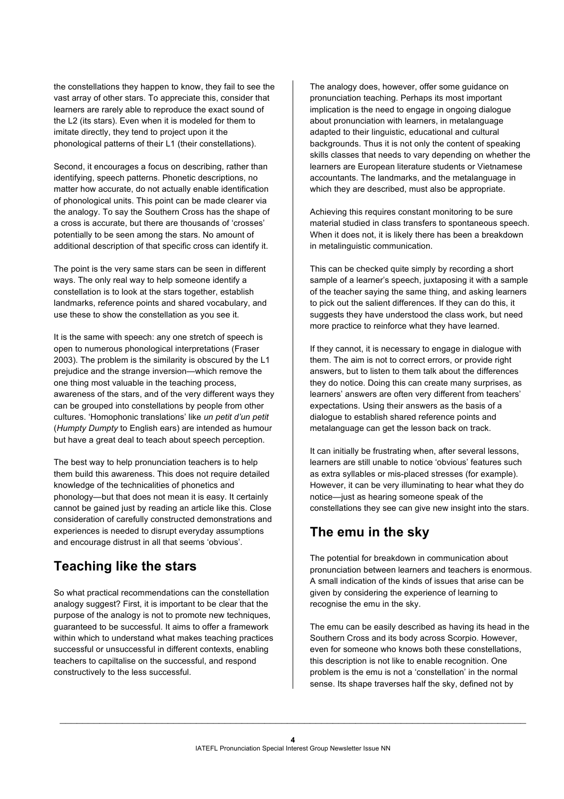the constellations they happen to know, they fail to see the vast array of other stars. To appreciate this, consider that learners are rarely able to reproduce the exact sound of the L2 (its stars). Even when it is modeled for them to imitate directly, they tend to project upon it the phonological patterns of their L1 (their constellations).

Second, it encourages a focus on describing, rather than identifying, speech patterns. Phonetic descriptions, no matter how accurate, do not actually enable identification of phonological units. This point can be made clearer via the analogy. To say the Southern Cross has the shape of a cross is accurate, but there are thousands of 'crosses' potentially to be seen among the stars. No amount of additional description of that specific cross can identify it.

The point is the very same stars can be seen in different ways. The only real way to help someone identify a constellation is to look at the stars together, establish landmarks, reference points and shared vocabulary, and use these to show the constellation as you see it.

It is the same with speech: any one stretch of speech is open to numerous phonological interpretations (Fraser 2003). The problem is the similarity is obscured by the L1 prejudice and the strange inversion—which remove the one thing most valuable in the teaching process, awareness of the stars, and of the very different ways they can be grouped into constellations by people from other cultures. 'Homophonic translations' like *un petit d'un petit* (*Humpty Dumpty* to English ears) are intended as humour but have a great deal to teach about speech perception.

The best way to help pronunciation teachers is to help them build this awareness. This does not require detailed knowledge of the technicalities of phonetics and phonology—but that does not mean it is easy. It certainly cannot be gained just by reading an article like this. Close consideration of carefully constructed demonstrations and experiences is needed to disrupt everyday assumptions and encourage distrust in all that seems 'obvious'.

### **Teaching like the stars**

So what practical recommendations can the constellation analogy suggest? First, it is important to be clear that the purpose of the analogy is not to promote new techniques, guaranteed to be successful. It aims to offer a framework within which to understand what makes teaching practices successful or unsuccessful in different contexts, enabling teachers to capiltalise on the successful, and respond constructively to the less successful.

The analogy does, however, offer some guidance on pronunciation teaching. Perhaps its most important implication is the need to engage in ongoing dialogue about pronunciation with learners, in metalanguage adapted to their linguistic, educational and cultural backgrounds. Thus it is not only the content of speaking skills classes that needs to vary depending on whether the learners are European literature students or Vietnamese accountants. The landmarks, and the metalanguage in which they are described, must also be appropriate.

Achieving this requires constant monitoring to be sure material studied in class transfers to spontaneous speech. When it does not, it is likely there has been a breakdown in metalinguistic communication.

This can be checked quite simply by recording a short sample of a learner's speech, juxtaposing it with a sample of the teacher saying the same thing, and asking learners to pick out the salient differences. If they can do this, it suggests they have understood the class work, but need more practice to reinforce what they have learned.

If they cannot, it is necessary to engage in dialogue with them. The aim is not to correct errors, or provide right answers, but to listen to them talk about the differences they do notice. Doing this can create many surprises, as learners' answers are often very different from teachers' expectations. Using their answers as the basis of a dialogue to establish shared reference points and metalanguage can get the lesson back on track.

It can initially be frustrating when, after several lessons, learners are still unable to notice 'obvious' features such as extra syllables or mis-placed stresses (for example). However, it can be very illuminating to hear what they do notice—just as hearing someone speak of the constellations they see can give new insight into the stars.

# **The emu in the sky**

The potential for breakdown in communication about pronunciation between learners and teachers is enormous. A small indication of the kinds of issues that arise can be given by considering the experience of learning to recognise the emu in the sky.

The emu can be easily described as having its head in the Southern Cross and its body across Scorpio. However, even for someone who knows both these constellations, this description is not like to enable recognition. One problem is the emu is not a 'constellation' in the normal sense. Its shape traverses half the sky, defined not by